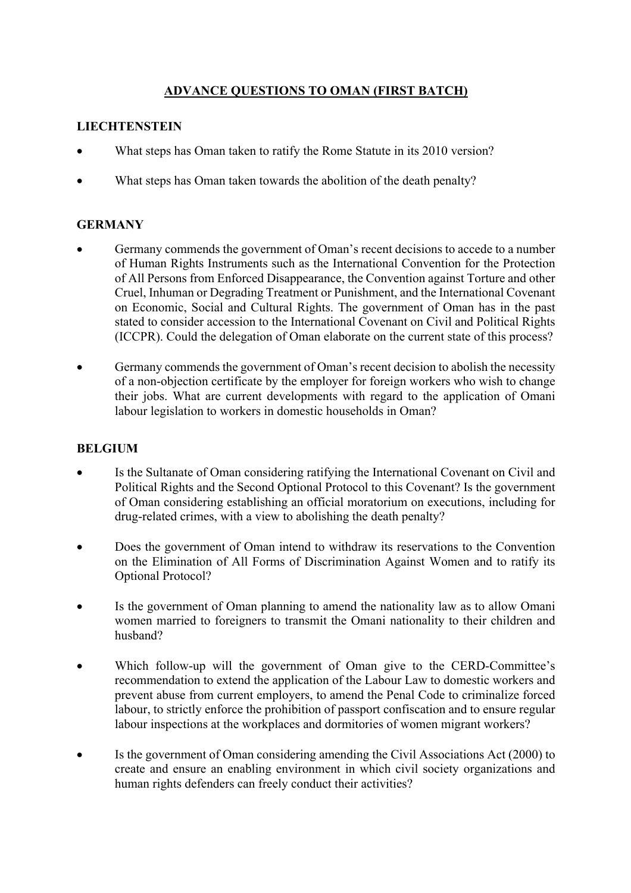# **ADVANCE QUESTIONS TO OMAN (FIRST BATCH)**

## **LIECHTENSTEIN**

- What steps has Oman taken to ratify the Rome Statute in its 2010 version?
- What steps has Oman taken towards the abolition of the death penalty?

## **GERMANY**

- Germany commends the government of Oman's recent decisions to accede to a number of Human Rights Instruments such as the International Convention for the Protection of All Persons from Enforced Disappearance, the Convention against Torture and other Cruel, Inhuman or Degrading Treatment or Punishment, and the International Covenant on Economic, Social and Cultural Rights. The government of Oman has in the past stated to consider accession to the International Covenant on Civil and Political Rights (ICCPR). Could the delegation of Oman elaborate on the current state of this process?
- Germany commends the government of Oman's recent decision to abolish the necessity of a non-objection certificate by the employer for foreign workers who wish to change their jobs. What are current developments with regard to the application of Omani labour legislation to workers in domestic households in Oman?

#### **BELGIUM**

- Is the Sultanate of Oman considering ratifying the International Covenant on Civil and Political Rights and the Second Optional Protocol to this Covenant? Is the government of Oman considering establishing an official moratorium on executions, including for drug-related crimes, with a view to abolishing the death penalty?
- Does the government of Oman intend to withdraw its reservations to the Convention on the Elimination of All Forms of Discrimination Against Women and to ratify its Optional Protocol?
- Is the government of Oman planning to amend the nationality law as to allow Omani women married to foreigners to transmit the Omani nationality to their children and husband?
- Which follow-up will the government of Oman give to the CERD-Committee's recommendation to extend the application of the Labour Law to domestic workers and prevent abuse from current employers, to amend the Penal Code to criminalize forced labour, to strictly enforce the prohibition of passport confiscation and to ensure regular labour inspections at the workplaces and dormitories of women migrant workers?
- Is the government of Oman considering amending the Civil Associations Act (2000) to create and ensure an enabling environment in which civil society organizations and human rights defenders can freely conduct their activities?